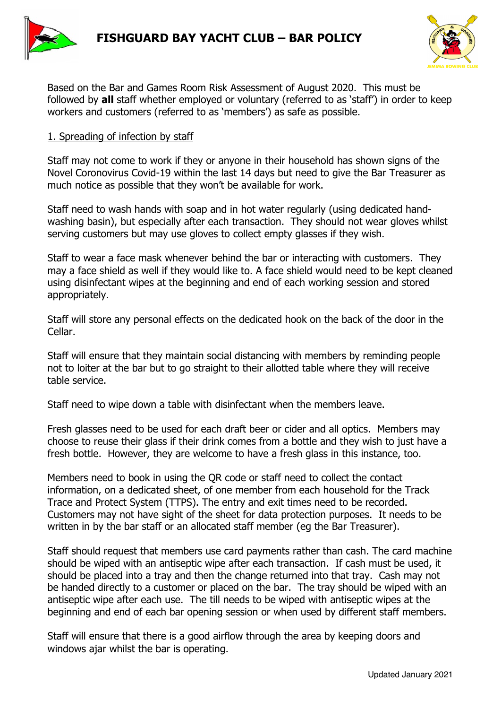



Based on the Bar and Games Room Risk Assessment of August 2020. This must be followed by **all** staff whether employed or voluntary (referred to as 'staff') in order to keep workers and customers (referred to as 'members') as safe as possible.

## 1. Spreading of infection by staff

Staff may not come to work if they or anyone in their household has shown signs of the Novel Coronovirus Covid-19 within the last 14 days but need to give the Bar Treasurer as much notice as possible that they won't be available for work.

Staff need to wash hands with soap and in hot water regularly (using dedicated handwashing basin), but especially after each transaction. They should not wear gloves whilst serving customers but may use gloves to collect empty glasses if they wish.

Staff to wear a face mask whenever behind the bar or interacting with customers. They may a face shield as well if they would like to. A face shield would need to be kept cleaned using disinfectant wipes at the beginning and end of each working session and stored appropriately.

Staff will store any personal effects on the dedicated hook on the back of the door in the Cellar.

Staff will ensure that they maintain social distancing with members by reminding people not to loiter at the bar but to go straight to their allotted table where they will receive table service.

Staff need to wipe down a table with disinfectant when the members leave.

Fresh glasses need to be used for each draft beer or cider and all optics. Members may choose to reuse their glass if their drink comes from a bottle and they wish to just have a fresh bottle. However, they are welcome to have a fresh glass in this instance, too.

Members need to book in using the QR code or staff need to collect the contact information, on a dedicated sheet, of one member from each household for the Track Trace and Protect System (TTPS). The entry and exit times need to be recorded. Customers may not have sight of the sheet for data protection purposes. It needs to be written in by the bar staff or an allocated staff member (eg the Bar Treasurer).

Staff should request that members use card payments rather than cash. The card machine should be wiped with an antiseptic wipe after each transaction. If cash must be used, it should be placed into a tray and then the change returned into that tray. Cash may not be handed directly to a customer or placed on the bar. The tray should be wiped with an antiseptic wipe after each use. The till needs to be wiped with antiseptic wipes at the beginning and end of each bar opening session or when used by different staff members.

Staff will ensure that there is a good airflow through the area by keeping doors and windows ajar whilst the bar is operating.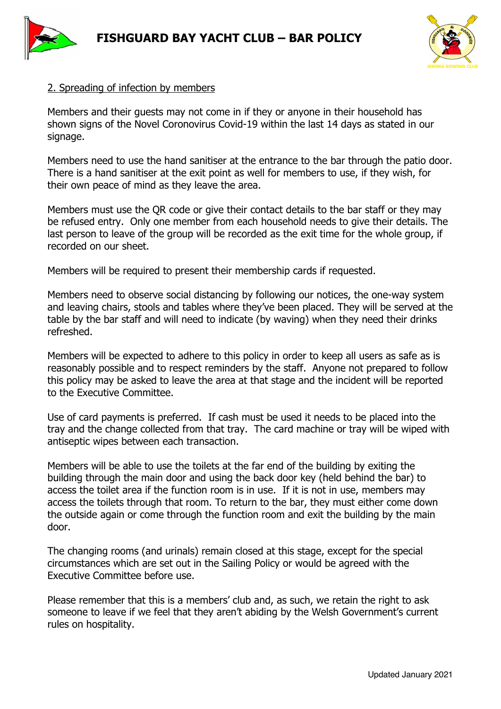





## 2. Spreading of infection by members

Members and their guests may not come in if they or anyone in their household has shown signs of the Novel Coronovirus Covid-19 within the last 14 days as stated in our signage.

Members need to use the hand sanitiser at the entrance to the bar through the patio door. There is a hand sanitiser at the exit point as well for members to use, if they wish, for their own peace of mind as they leave the area.

Members must use the QR code or give their contact details to the bar staff or they may be refused entry. Only one member from each household needs to give their details. The last person to leave of the group will be recorded as the exit time for the whole group, if recorded on our sheet.

Members will be required to present their membership cards if requested.

Members need to observe social distancing by following our notices, the one-way system and leaving chairs, stools and tables where they've been placed. They will be served at the table by the bar staff and will need to indicate (by waving) when they need their drinks refreshed.

Members will be expected to adhere to this policy in order to keep all users as safe as is reasonably possible and to respect reminders by the staff. Anyone not prepared to follow this policy may be asked to leave the area at that stage and the incident will be reported to the Executive Committee.

Use of card payments is preferred. If cash must be used it needs to be placed into the tray and the change collected from that tray. The card machine or tray will be wiped with antiseptic wipes between each transaction.

Members will be able to use the toilets at the far end of the building by exiting the building through the main door and using the back door key (held behind the bar) to access the toilet area if the function room is in use. If it is not in use, members may access the toilets through that room. To return to the bar, they must either come down the outside again or come through the function room and exit the building by the main door.

The changing rooms (and urinals) remain closed at this stage, except for the special circumstances which are set out in the Sailing Policy or would be agreed with the Executive Committee before use.

Please remember that this is a members' club and, as such, we retain the right to ask someone to leave if we feel that they aren't abiding by the Welsh Government's current rules on hospitality.